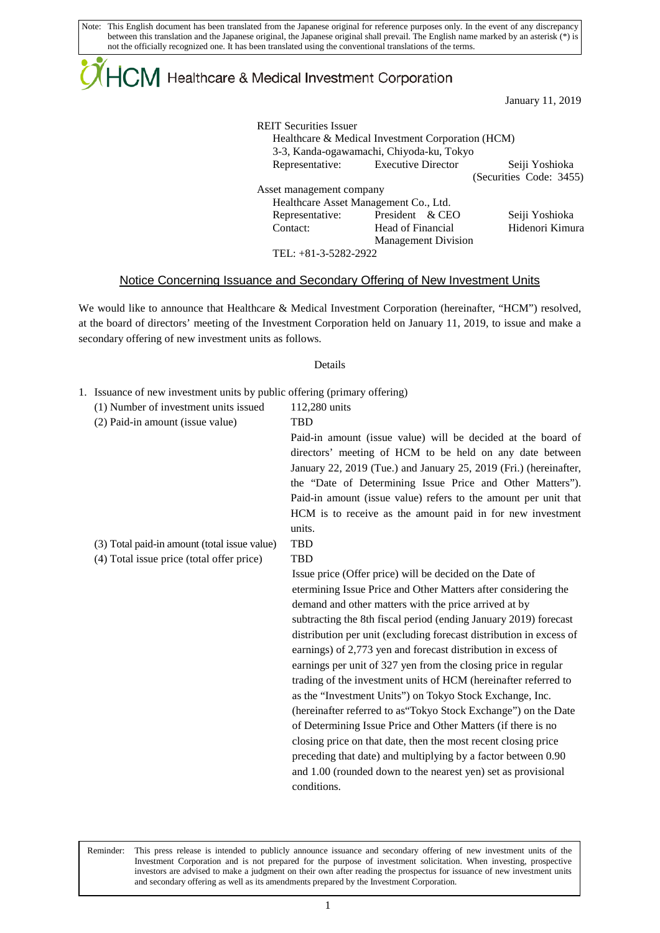# $\mathsf{ICM}\xspace$  Healthcare & Medical Investment Corporation

January 11, 2019

| <b>REIT Securities Issuer</b><br>Healthcare & Medical Investment Corporation (HCM)<br>3-3, Kanda-ogawamachi, Chiyoda-ku, Tokyo |                   |                            |                         |
|--------------------------------------------------------------------------------------------------------------------------------|-------------------|----------------------------|-------------------------|
| Representative: Executive Director                                                                                             |                   |                            | Seiji Yoshioka          |
|                                                                                                                                |                   |                            | (Securities Code: 3455) |
| Asset management company                                                                                                       |                   |                            |                         |
| Healthcare Asset Management Co., Ltd.                                                                                          |                   |                            |                         |
| Representative:                                                                                                                | President & CEO   |                            | Seiji Yoshioka          |
| Contact:                                                                                                                       | Head of Financial |                            | Hidenori Kimura         |
|                                                                                                                                |                   | <b>Management Division</b> |                         |
| TEL: +81-3-5282-2922                                                                                                           |                   |                            |                         |

#### Notice Concerning Issuance and Secondary Offering of New Investment Units

We would like to announce that Healthcare & Medical Investment Corporation (hereinafter, "HCM") resolved, at the board of directors' meeting of the Investment Corporation held on January 11, 2019, to issue and make a secondary offering of new investment units as follows.

#### Details

- 1. Issuance of new investment units by public offering (primary offering)
	- (1) Number of investment units issued 112,280 units

 $\mathsf{L}$ 

| (2) Paid-in amount (issue value)             | <b>TBD</b>                                                          |
|----------------------------------------------|---------------------------------------------------------------------|
|                                              | Paid-in amount (issue value) will be decided at the board of        |
|                                              | directors' meeting of HCM to be held on any date between            |
|                                              | January 22, 2019 (Tue.) and January 25, 2019 (Fri.) (hereinafter,   |
|                                              | the "Date of Determining Issue Price and Other Matters").           |
|                                              | Paid-in amount (issue value) refers to the amount per unit that     |
|                                              | HCM is to receive as the amount paid in for new investment          |
|                                              | units.                                                              |
| (3) Total paid-in amount (total issue value) | <b>TBD</b>                                                          |
| (4) Total issue price (total offer price)    | <b>TBD</b>                                                          |
|                                              | Issue price (Offer price) will be decided on the Date of            |
|                                              | etermining Issue Price and Other Matters after considering the      |
|                                              | demand and other matters with the price arrived at by               |
|                                              | subtracting the 8th fiscal period (ending January 2019) forecast    |
|                                              | distribution per unit (excluding forecast distribution in excess of |
|                                              | earnings) of 2,773 yen and forecast distribution in excess of       |
|                                              | earnings per unit of 327 yen from the closing price in regular      |
|                                              | trading of the investment units of HCM (hereinafter referred to     |
|                                              | as the "Investment Units") on Tokyo Stock Exchange, Inc.            |
|                                              | (hereinafter referred to as "Tokyo Stock Exchange") on the Date     |
|                                              | of Determining Issue Price and Other Matters (if there is no        |
|                                              | closing price on that date, then the most recent closing price      |
|                                              | preceding that date) and multiplying by a factor between 0.90       |
|                                              | and 1.00 (rounded down to the nearest yen) set as provisional       |
|                                              | conditions.                                                         |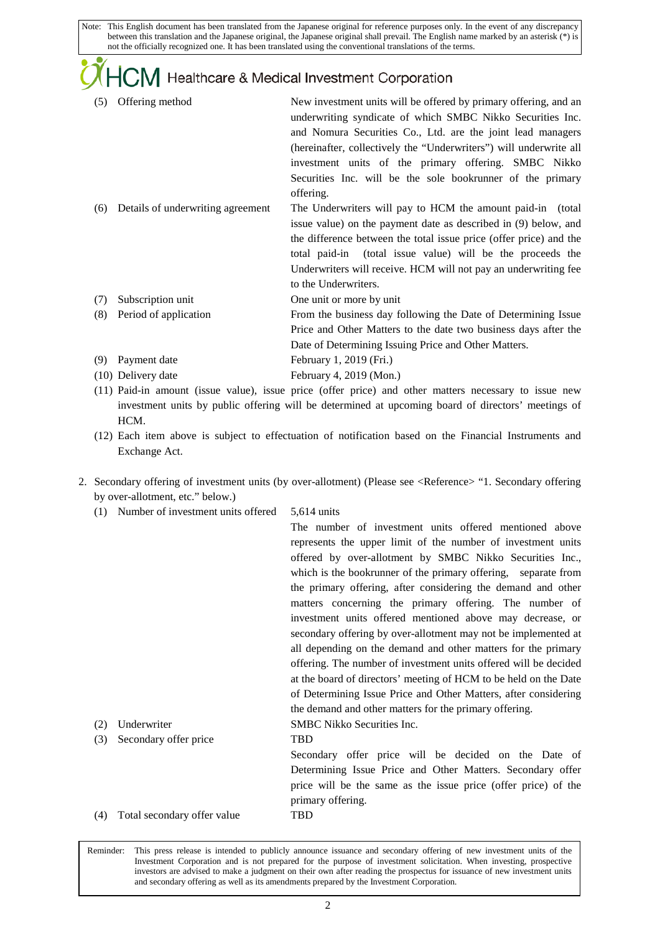### **JVI** Healthcare & Medical Investment Corporation

- (5) Offering method New investment units will be offered by primary offering, and an underwriting syndicate of which SMBC Nikko Securities Inc. and Nomura Securities Co., Ltd. are the joint lead managers (hereinafter, collectively the "Underwriters") will underwrite all investment units of the primary offering. SMBC Nikko Securities Inc. will be the sole bookrunner of the primary offering. (6) Details of underwriting agreement The Underwriters will pay to HCM the amount paid-in (total
- issue value) on the payment date as described in (9) below, and the difference between the total issue price (offer price) and the total paid-in (total issue value) will be the proceeds the Underwriters will receive. HCM will not pay an underwriting fee to the Underwriters.
- (7) Subscription unit One unit or more by unit
- (8) Period of application From the business day following the Date of Determining Issue Price and Other Matters to the date two business days after the Date of Determining Issuing Price and Other Matters.
- (9) Payment date February 1, 2019 (Fri.)
- (10) Delivery date February 4, 2019 (Mon.)
- (11) Paid-in amount (issue value), issue price (offer price) and other matters necessary to issue new investment units by public offering will be determined at upcoming board of directors' meetings of HCM.
- (12) Each item above is subject to effectuation of notification based on the Financial Instruments and Exchange Act.
- 2. Secondary offering of investment units (by over-allotment) (Please see <Reference> "1. Secondary offering by over-allotment, etc." below.)
	- (1) Number of investment units offered 5,614 units

 $\mathsf{L}$ 

|     |                             | The number of investment units offered mentioned above           |
|-----|-----------------------------|------------------------------------------------------------------|
|     |                             | represents the upper limit of the number of investment units     |
|     |                             | offered by over-allotment by SMBC Nikko Securities Inc.,         |
|     |                             | which is the bookrunner of the primary offering, separate from   |
|     |                             | the primary offering, after considering the demand and other     |
|     |                             | matters concerning the primary offering. The number of           |
|     |                             | investment units offered mentioned above may decrease, or        |
|     |                             | secondary offering by over-allotment may not be implemented at   |
|     |                             | all depending on the demand and other matters for the primary    |
|     |                             | offering. The number of investment units offered will be decided |
|     |                             | at the board of directors' meeting of HCM to be held on the Date |
|     |                             | of Determining Issue Price and Other Matters, after considering  |
|     |                             | the demand and other matters for the primary offering.           |
| (2) | Underwriter                 | <b>SMBC</b> Nikko Securities Inc.                                |
| (3) | Secondary offer price       | TBD                                                              |
|     |                             | Secondary offer price will be decided on the Date of             |
|     |                             | Determining Issue Price and Other Matters. Secondary offer       |
|     |                             | price will be the same as the issue price (offer price) of the   |
|     |                             | primary offering.                                                |
| (4) | Total secondary offer value | TBD                                                              |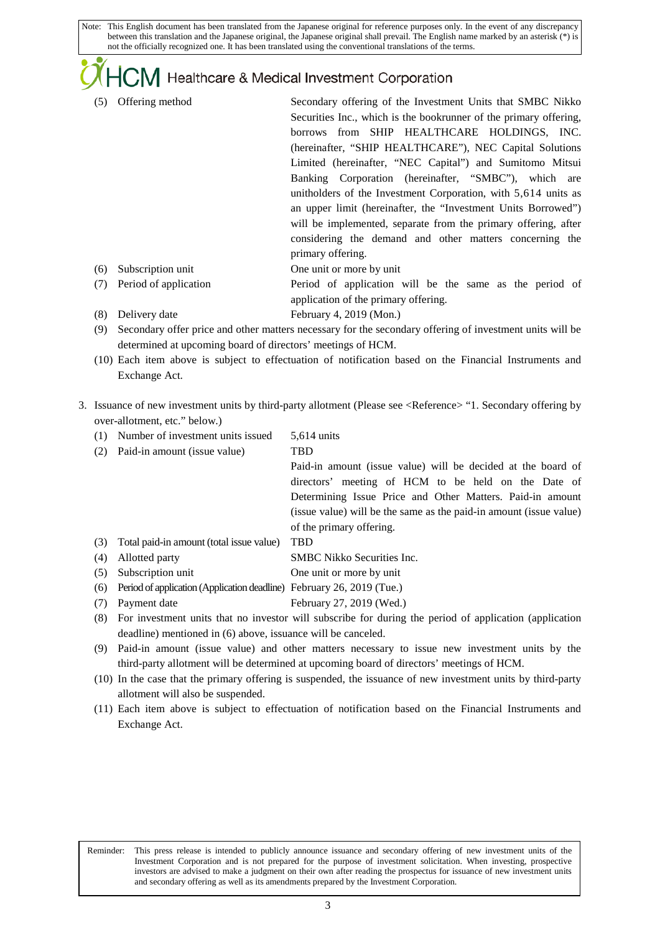### $J$ M Healthcare & Medical Investment Corporation

- (5) Offering method Secondary offering of the Investment Units that SMBC Nikko Securities Inc., which is the bookrunner of the primary offering. borrows from SHIP HEALTHCARE HOLDINGS, INC. (hereinafter, "SHIP HEALTHCARE"), NEC Capital Solutions Limited (hereinafter, "NEC Capital") and Sumitomo Mitsui Banking Corporation (hereinafter, "SMBC"), which are unitholders of the Investment Corporation, with 5,614 units as an upper limit (hereinafter, the "Investment Units Borrowed") will be implemented, separate from the primary offering, after considering the demand and other matters concerning the primary offering. (6) Subscription unit One unit or more by unit (7) Period of application Period of application will be the same as the period of
	- application of the primary offering.
- (8) Delivery date February 4, 2019 (Mon.)

 $\mathsf{L}$ 

- (9) Secondary offer price and other matters necessary for the secondary offering of investment units will be determined at upcoming board of directors' meetings of HCM.
- (10) Each item above is subject to effectuation of notification based on the Financial Instruments and Exchange Act.
- 3. Issuance of new investment units by third-party allotment (Please see <Reference> "1. Secondary offering by over-allotment, etc." below.)
	- (1) Number of investment units issued 5,614 units
	- (2) Paid-in amount (issue value) TBD Paid-in amount (issue value) will be decided at the board of directors' meeting of HCM to be held on the Date of Determining Issue Price and Other Matters. Paid-in amount (issue value) will be the same as the paid-in amount (issue value) of the primary offering. (3) Total paid-in amount (total issue value) TBD (4) Allotted party SMBC Nikko Securities Inc. (5) Subscription unit One unit or more by unit
	- (6) Period of application (Application deadline) February 26, 2019 (Tue.)
	- (7) Payment date February 27, 2019 (Wed.)
	- (8) For investment units that no investor will subscribe for during the period of application (application deadline) mentioned in (6) above, issuance will be canceled.
	- (9) Paid-in amount (issue value) and other matters necessary to issue new investment units by the third-party allotment will be determined at upcoming board of directors' meetings of HCM.
	- (10) In the case that the primary offering is suspended, the issuance of new investment units by third-party allotment will also be suspended.
	- (11) Each item above is subject to effectuation of notification based on the Financial Instruments and Exchange Act.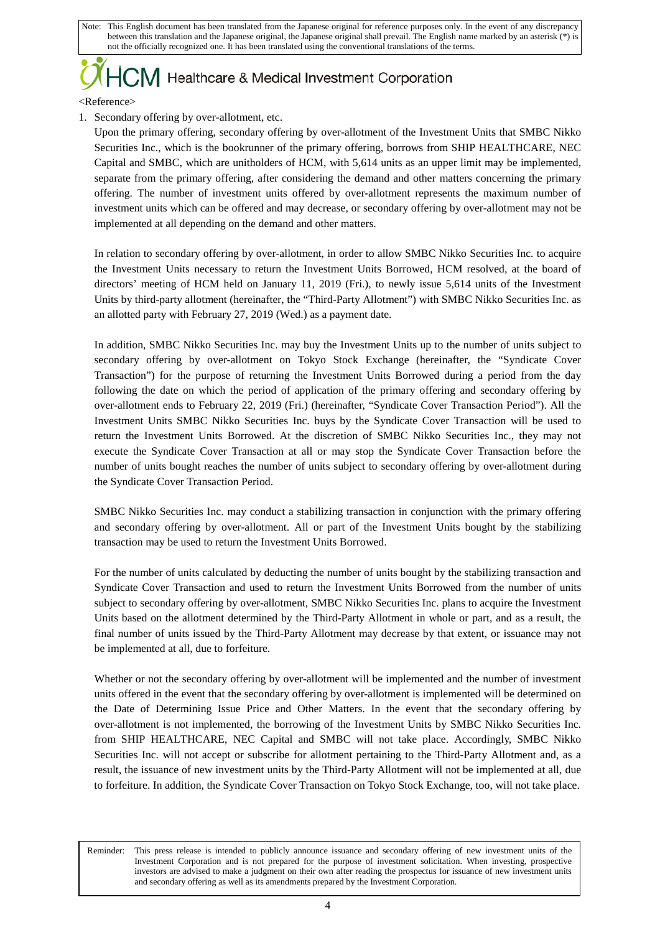# $J$  Healthcare & Medical Investment Corporation

<Reference>

 $\mathsf{L}$ 

1. Secondary offering by over-allotment, etc.

Upon the primary offering, secondary offering by over-allotment of the Investment Units that SMBC Nikko Securities Inc., which is the bookrunner of the primary offering, borrows from SHIP HEALTHCARE, NEC Capital and SMBC, which are unitholders of HCM, with 5,614 units as an upper limit may be implemented, separate from the primary offering, after considering the demand and other matters concerning the primary offering. The number of investment units offered by over-allotment represents the maximum number of investment units which can be offered and may decrease, or secondary offering by over-allotment may not be implemented at all depending on the demand and other matters.

In relation to secondary offering by over-allotment, in order to allow SMBC Nikko Securities Inc. to acquire the Investment Units necessary to return the Investment Units Borrowed, HCM resolved, at the board of directors' meeting of HCM held on January 11, 2019 (Fri.), to newly issue 5,614 units of the Investment Units by third-party allotment (hereinafter, the "Third-Party Allotment") with SMBC Nikko Securities Inc. as an allotted party with February 27, 2019 (Wed.) as a payment date.

In addition, SMBC Nikko Securities Inc. may buy the Investment Units up to the number of units subject to secondary offering by over-allotment on Tokyo Stock Exchange (hereinafter, the "Syndicate Cover Transaction") for the purpose of returning the Investment Units Borrowed during a period from the day following the date on which the period of application of the primary offering and secondary offering by over-allotment ends to February 22, 2019 (Fri.) (hereinafter, "Syndicate Cover Transaction Period"). All the Investment Units SMBC Nikko Securities Inc. buys by the Syndicate Cover Transaction will be used to return the Investment Units Borrowed. At the discretion of SMBC Nikko Securities Inc., they may not execute the Syndicate Cover Transaction at all or may stop the Syndicate Cover Transaction before the number of units bought reaches the number of units subject to secondary offering by over-allotment during the Syndicate Cover Transaction Period.

SMBC Nikko Securities Inc. may conduct a stabilizing transaction in conjunction with the primary offering and secondary offering by over-allotment. All or part of the Investment Units bought by the stabilizing transaction may be used to return the Investment Units Borrowed.

For the number of units calculated by deducting the number of units bought by the stabilizing transaction and Syndicate Cover Transaction and used to return the Investment Units Borrowed from the number of units subject to secondary offering by over-allotment, SMBC Nikko Securities Inc. plans to acquire the Investment Units based on the allotment determined by the Third-Party Allotment in whole or part, and as a result, the final number of units issued by the Third-Party Allotment may decrease by that extent, or issuance may not be implemented at all, due to forfeiture.

Whether or not the secondary offering by over-allotment will be implemented and the number of investment units offered in the event that the secondary offering by over-allotment is implemented will be determined on the Date of Determining Issue Price and Other Matters. In the event that the secondary offering by over-allotment is not implemented, the borrowing of the Investment Units by SMBC Nikko Securities Inc. from SHIP HEALTHCARE, NEC Capital and SMBC will not take place. Accordingly, SMBC Nikko Securities Inc. will not accept or subscribe for allotment pertaining to the Third-Party Allotment and, as a result, the issuance of new investment units by the Third-Party Allotment will not be implemented at all, due to forfeiture. In addition, the Syndicate Cover Transaction on Tokyo Stock Exchange, too, will not take place.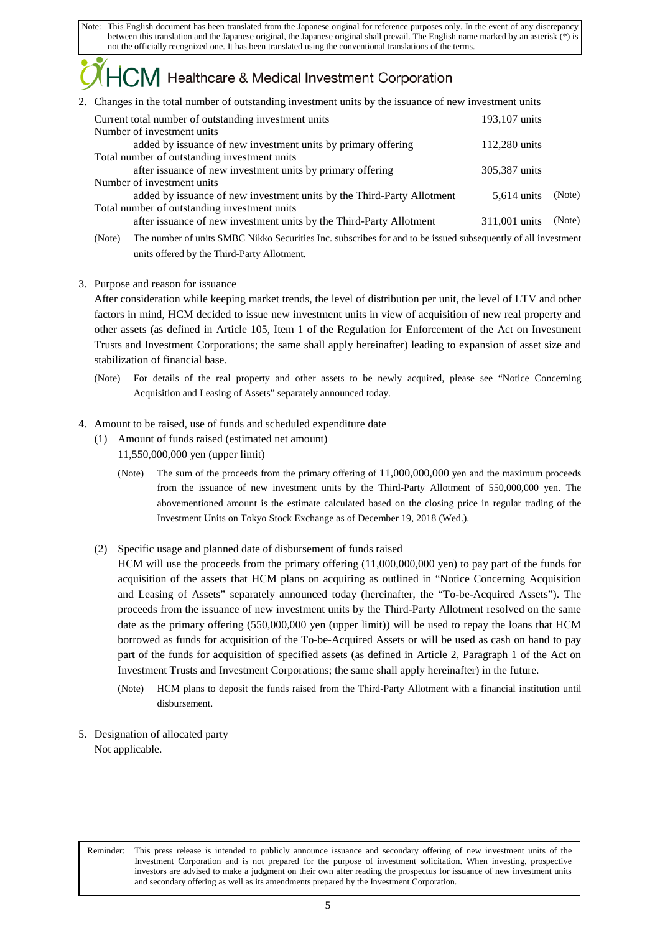## Healthcare & Medical Investment Corporation

2. Changes in the total number of outstanding investment units by the issuance of new investment units

| Current total number of outstanding investment units                   | 193,107 units |        |
|------------------------------------------------------------------------|---------------|--------|
| Number of investment units                                             |               |        |
| added by issuance of new investment units by primary offering          | 112,280 units |        |
| Total number of outstanding investment units                           |               |        |
| after issuance of new investment units by primary offering             | 305,387 units |        |
| Number of investment units                                             |               |        |
| added by issuance of new investment units by the Third-Party Allotment | 5.614 units   | (Note) |
| Total number of outstanding investment units                           |               |        |
| after issuance of new investment units by the Third-Party Allotment    | 311,001 units | (Note) |
|                                                                        |               |        |

(Note) The number of units SMBC Nikko Securities Inc. subscribes for and to be issued subsequently of all investment units offered by the Third-Party Allotment.

#### 3. Purpose and reason for issuance

After consideration while keeping market trends, the level of distribution per unit, the level of LTV and other factors in mind, HCM decided to issue new investment units in view of acquisition of new real property and other assets (as defined in Article 105, Item 1 of the Regulation for Enforcement of the Act on Investment Trusts and Investment Corporations; the same shall apply hereinafter) leading to expansion of asset size and stabilization of financial base.

(Note) For details of the real property and other assets to be newly acquired, please see "Notice Concerning Acquisition and Leasing of Assets" separately announced today.

#### 4. Amount to be raised, use of funds and scheduled expenditure date

- (1) Amount of funds raised (estimated net amount) 11,550,000,000 yen (upper limit)
	- (Note) The sum of the proceeds from the primary offering of 11,000,000,000 yen and the maximum proceeds from the issuance of new investment units by the Third-Party Allotment of 550,000,000 yen. The abovementioned amount is the estimate calculated based on the closing price in regular trading of the Investment Units on Tokyo Stock Exchange as of December 19, 2018 (Wed.).
- (2) Specific usage and planned date of disbursement of funds raised

HCM will use the proceeds from the primary offering (11,000,000,000 yen) to pay part of the funds for acquisition of the assets that HCM plans on acquiring as outlined in "Notice Concerning Acquisition and Leasing of Assets" separately announced today (hereinafter, the "To-be-Acquired Assets"). The proceeds from the issuance of new investment units by the Third-Party Allotment resolved on the same date as the primary offering (550,000,000 yen (upper limit)) will be used to repay the loans that HCM borrowed as funds for acquisition of the To-be-Acquired Assets or will be used as cash on hand to pay part of the funds for acquisition of specified assets (as defined in Article 2, Paragraph 1 of the Act on Investment Trusts and Investment Corporations; the same shall apply hereinafter) in the future.

- (Note) HCM plans to deposit the funds raised from the Third-Party Allotment with a financial institution until disbursement.
- 5. Designation of allocated party Not applicable.

 $\mathsf{L}$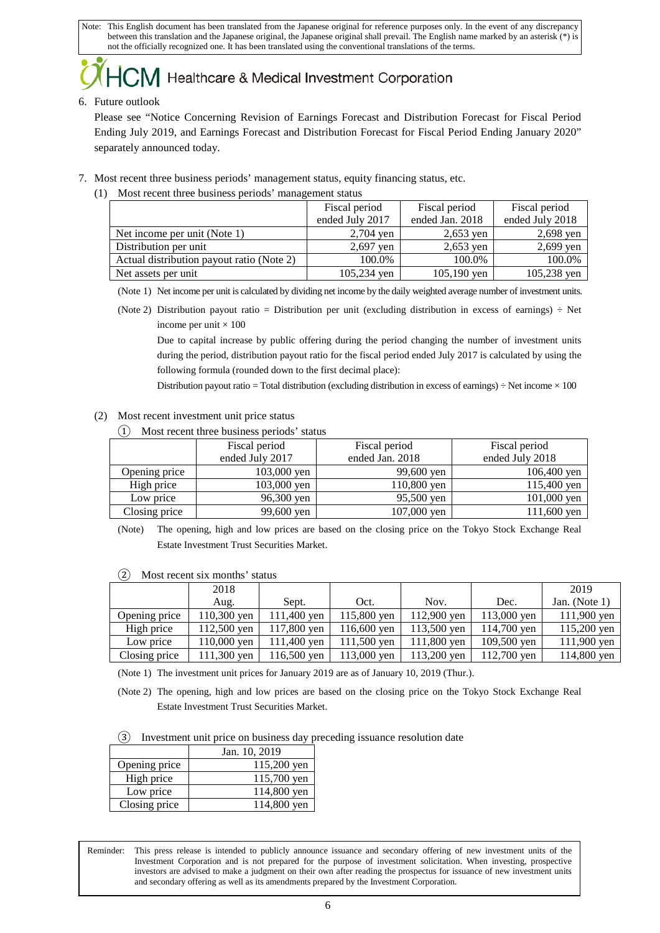## Healthcare & Medical Investment Corporation

#### 6. Future outlook

Please see "Notice Concerning Revision of Earnings Forecast and Distribution Forecast for Fiscal Period Ending July 2019, and Earnings Forecast and Distribution Forecast for Fiscal Period Ending January 2020" separately announced today.

- 7. Most recent three business periods' management status, equity financing status, etc.
	- (1) Most recent three business periods' management status

|                                           | Fiscal period   | Fiscal period   | Fiscal period   |
|-------------------------------------------|-----------------|-----------------|-----------------|
|                                           | ended July 2017 | ended Jan. 2018 | ended July 2018 |
| Net income per unit (Note 1)              | 2,704 yen       | $2,653$ ven     | $2,698$ yen     |
| Distribution per unit                     | $2,697$ yen     | $2,653$ yen     | 2,699 yen       |
| Actual distribution payout ratio (Note 2) | 100.0%          | 100.0%          | 100.0%          |
| Net assets per unit                       | 105,234 yen     | $105,190$ yen   | 105,238 yen     |

(Note 1) Net income per unit is calculated by dividing net income by the daily weighted average number of investment units.

(Note 2) Distribution payout ratio = Distribution per unit (excluding distribution in excess of earnings)  $\div$  Net income per unit  $\times$  100

Due to capital increase by public offering during the period changing the number of investment units during the period, distribution payout ratio for the fiscal period ended July 2017 is calculated by using the following formula (rounded down to the first decimal place):

Distribution payout ratio = Total distribution (excluding distribution in excess of earnings)  $\div$  Net income  $\times$  100

- (2) Most recent investment unit price status
	- ① Most recent three business periods' status

| Fiscal period |                 | Fiscal period   | Fiscal period   |
|---------------|-----------------|-----------------|-----------------|
|               | ended July 2017 | ended Jan. 2018 | ended July 2018 |
| Opening price | $103,000$ yen   | 99,600 yen      | 106,400 yen     |
| High price    | 103,000 yen     | 110,800 yen     | 115,400 yen     |
| Low price     | 96,300 yen      | 95,500 yen      | 101,000 yen     |
| Closing price | 99,600 yen      | 107,000 yen     | 111,600 yen     |

(Note) The opening, high and low prices are based on the closing price on the Tokyo Stock Exchange Real Estate Investment Trust Securities Market.

| ر د<br>NIOSI ICCCIII SIA IIIOIIIIIS SUATUS |             |               |               |             |             |                  |
|--------------------------------------------|-------------|---------------|---------------|-------------|-------------|------------------|
|                                            | 2018        |               |               |             |             | 2019             |
|                                            | Aug.        | Sept.         | Oct.          | Nov.        | Dec.        | Jan. (Note $1$ ) |
| Opening price                              | 110,300 yen | 111,400 yen   | 115,800 yen   | 112,900 yen | 113,000 yen | 111,900 yen      |
| High price                                 | 112,500 yen | 117,800 yen   | $116,600$ yen | 113,500 yen | 114,700 yen | 115,200 yen      |
| Low price                                  | 110,000 yen | $111,400$ yen | $111,500$ yen | 111,800 yen | 109,500 yen | 111,900 yen      |
| Closing price                              | 111,300 yen | $116,500$ yen | $113,000$ yen | 113,200 yen | 112,700 yen | 114,800 yen      |

② Most recent six months' status

(Note 1) The investment unit prices for January 2019 are as of January 10, 2019 (Thur.).

(Note 2) The opening, high and low prices are based on the closing price on the Tokyo Stock Exchange Real Estate Investment Trust Securities Market.

|--|

|               | Jan. 10, 2019 |               |
|---------------|---------------|---------------|
| Opening price |               | 115,200 yen   |
| High price    |               | $115,700$ yen |
| Low price     |               | 114,800 yen   |
| Closing price |               | 114,800 yen   |

 $\mathsf{L}$